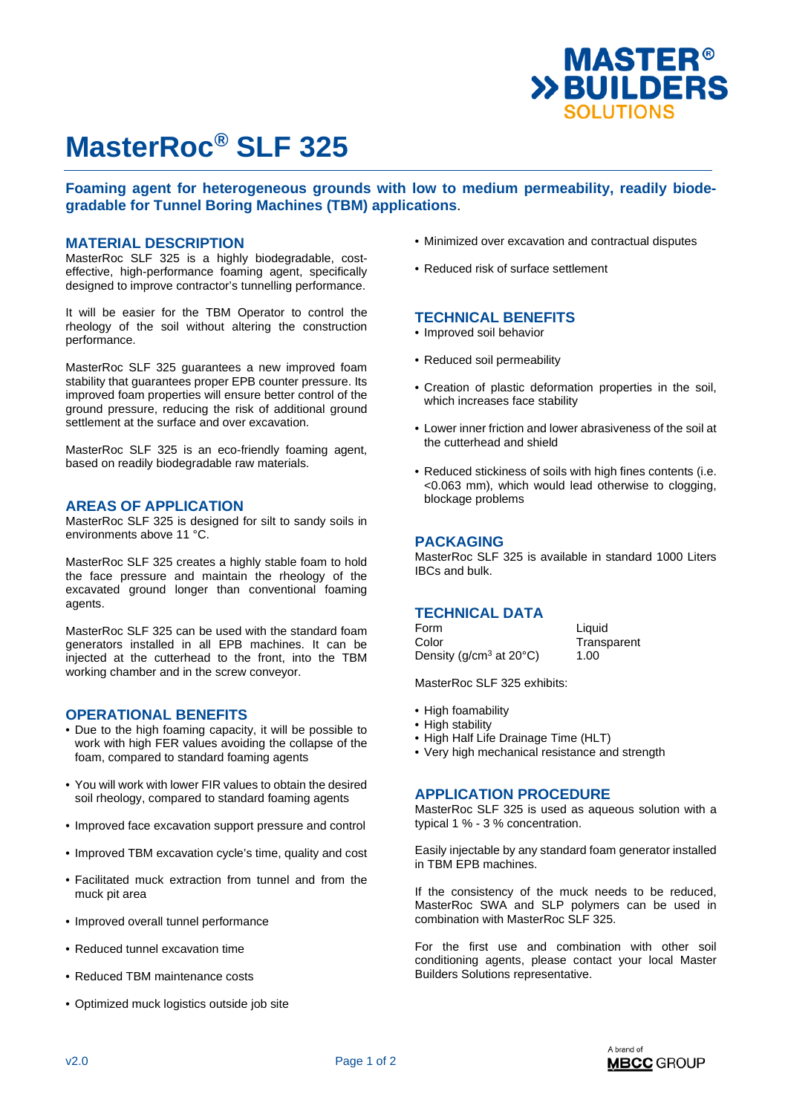

# **MasterRoc® SLF 325**

# **Foaming agent for heterogeneous grounds with low to medium permeability, readily biodegradable for Tunnel Boring Machines (TBM) applications**.

# **MATERIAL DESCRIPTION**

MasterRoc SLF 325 is a highly biodegradable, costeffective, high-performance foaming agent, specifically designed to improve contractor's tunnelling performance.

It will be easier for the TBM Operator to control the rheology of the soil without altering the construction performance.

MasterRoc SLF 325 guarantees a new improved foam stability that guarantees proper EPB counter pressure. Its improved foam properties will ensure better control of the ground pressure, reducing the risk of additional ground settlement at the surface and over excavation.

MasterRoc SLF 325 is an eco-friendly foaming agent, based on readily biodegradable raw materials.

# **AREAS OF APPLICATION**

MasterRoc SLF 325 is designed for silt to sandy soils in environments above 11 °C.

MasterRoc SLF 325 creates a highly stable foam to hold the face pressure and maintain the rheology of the excavated ground longer than conventional foaming agents.

MasterRoc SLF 325 can be used with the standard foam generators installed in all EPB machines. It can be injected at the cutterhead to the front, into the TBM working chamber and in the screw conveyor.

# **OPERATIONAL BENEFITS**

- Due to the high foaming capacity, it will be possible to work with high FER values avoiding the collapse of the foam, compared to standard foaming agents
- You will work with lower FIR values to obtain the desired soil rheology, compared to standard foaming agents
- Improved face excavation support pressure and control
- Improved TBM excavation cycle's time, quality and cost
- Facilitated muck extraction from tunnel and from the muck pit area
- Improved overall tunnel performance
- Reduced tunnel excavation time
- Reduced TBM maintenance costs
- Optimized muck logistics outside job site
- Minimized over excavation and contractual disputes
- Reduced risk of surface settlement

# **TECHNICAL BENEFITS**

- Improved soil behavior
- Reduced soil permeability
- Creation of plastic deformation properties in the soil, which increases face stability
- Lower inner friction and lower abrasiveness of the soil at the cutterhead and shield
- Reduced stickiness of soils with high fines contents (i.e. <0.063 mm), which would lead otherwise to clogging, blockage problems

## **PACKAGING**

MasterRoc SLF 325 is available in standard 1000 Liters IBCs and bulk.

# **TECHNICAL DATA**

Liquid Color **Transparent** Density ( $g/cm^3$  at  $20^{\circ}$ C) 1.00

MasterRoc SLF 325 exhibits:

- High foamability
- High stability
- High Half Life Drainage Time (HLT)
- Very high mechanical resistance and strength

## **APPLICATION PROCEDURE**

MasterRoc SLF 325 is used as aqueous solution with a typical 1 % - 3 % concentration.

Easily injectable by any standard foam generator installed in TBM EPB machines.

If the consistency of the muck needs to be reduced, MasterRoc SWA and SLP polymers can be used in combination with MasterRoc SLF 325.

For the first use and combination with other soil conditioning agents, please contact your local Master Builders Solutions representative.